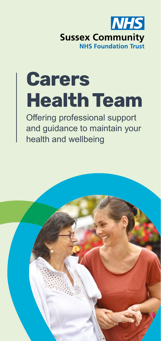

# **Carers Health Team**

Offering professional support and guidance to maintain your health and wellbeing

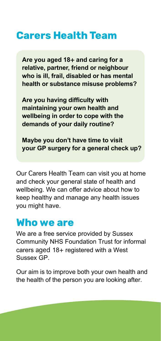### **Carers Health Team**

**Are you aged 18**+ **and caring for a relative, partner, friend or neighbour who is ill, frail, disabled or has mental health or substance misuse problems?**

**Are you having difficulty with maintaining your own health and wellbeing in order to cope with the demands of your daily routine?**

**Maybe you don't have time to visit your GP surgery for a general check up?**

Our Carers Health Team can visit you at home and check your general state of health and wellbeing. We can offer advice about how to keep healthy and manage any health issues you might have.

#### Who we are

We are a free service provided by Sussex Community NHS Foundation Trust for informal carers aged 18+ registered with a West Sussex GP.

Our aim is to improve both your own health and the health of the person you are looking after.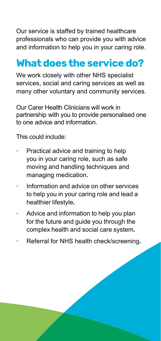Our service is staffed by trained healthcare professionals who can provide you with advice and information to help you in your caring role.

## What does the service do?

We work closely with other NHS specialist services, social and caring services as well as many other voluntary and community services.

Our Carer Health Clinicians will work in partnership with you to provide personalised one to one advice and information.

This could include:

- Practical advice and training to help you in your caring role, such as safe moving and handling techniques and managing medication.
- Information and advice on other services to help you in your caring role and lead a healthier lifestyle.
- Advice and information to help you plan for the future and guide you through the complex health and social care system.
- Referral for NHS health check/screening.